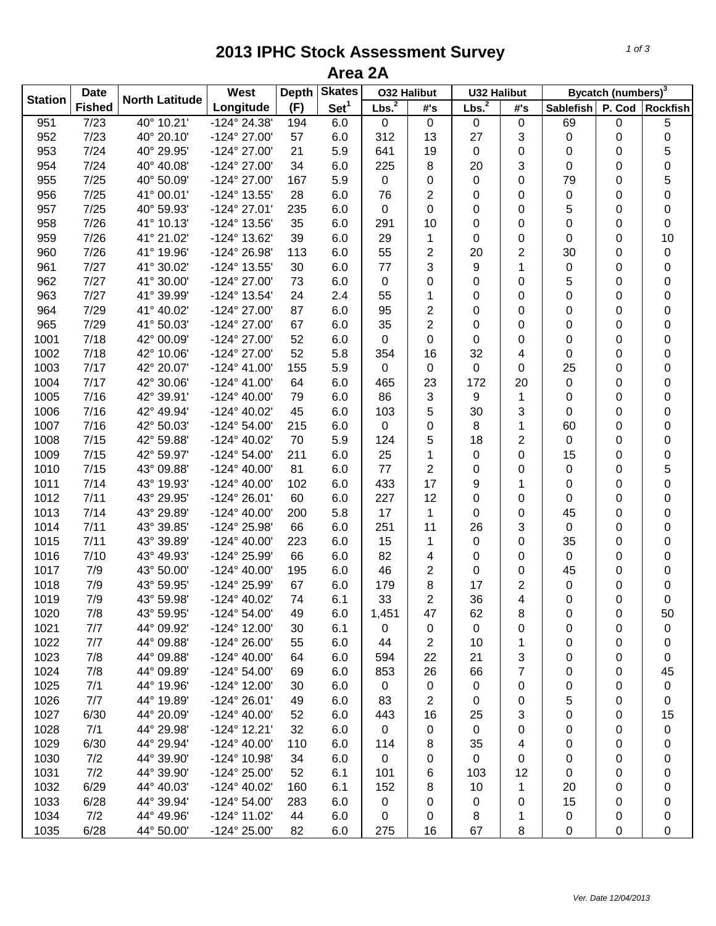## **2013 IPHC Stock Assessment Survey Area 2A**

|                | <b>Date</b><br><b>Fished</b> | <b>North Latitude</b> | West                  | <b>Skates</b><br><b>Depth</b> |                  | <b>032 Halibut</b> |                | <b>U32 Halibut</b> |     | Bycatch (numbers) <sup>3</sup> |        |           |
|----------------|------------------------------|-----------------------|-----------------------|-------------------------------|------------------|--------------------|----------------|--------------------|-----|--------------------------------|--------|-----------|
| <b>Station</b> |                              |                       | Longitude             | (F)                           | Set <sup>1</sup> | Lbs. <sup>2</sup>  | #'s            | Lbs. <sup>2</sup>  | #'s | <b>Sablefish</b>               | P. Cod | Rockfish  |
| 951            | 7/23                         | 40° 10.21'            | -124° 24.38'          | 194                           | 6.0              | 0                  | 0              | 0                  | 0   | 69                             | 0      | 5         |
| 952            | 7/23                         | 40° 20.10'            | -124° 27.00'          | 57                            | 6.0              | 312                | 13             | 27                 | 3   | 0                              | 0      | 0         |
| 953            | 7/24                         | 40° 29.95'            | -124° 27.00'          | 21                            | 5.9              | 641                | 19             | 0                  | 0   | 0                              | 0      | 5         |
| 954            | 7/24                         | 40° 40.08'            | -124° 27.00'          | 34                            | 6.0              | 225                | 8              | 20                 | 3   | 0                              | 0      | 0         |
| 955            | 7/25                         | 40° 50.09'            | -124° 27.00'          | 167                           | 5.9              | 0                  | 0              | 0                  | 0   | 79                             | 0      | 5         |
| 956            | 7/25                         | 41° 00.01'            | -124° 13.55'          | 28                            | 6.0              | 76                 | $\overline{2}$ | 0                  | 0   | 0                              | 0      | 0         |
| 957            | 7/25                         | 40° 59.93'            | -124° 27.01'          | 235                           | 6.0              | 0                  | 0              | 0                  | 0   | 5                              | 0      | 0         |
| 958            | 7/26                         | 41° 10.13'            | -124° 13.56'          | 35                            | 6.0              | 291                | 10             | 0                  | 0   | 0                              | 0      | 0         |
| 959            | 7/26                         | 41° 21.02'            | -124° 13.62'          | 39                            | 6.0              | 29                 | 1              | 0                  | 0   | 0                              | 0      | 10        |
| 960            | 7/26                         | 41° 19.96'            | -124° 26.98'          | 113                           | 6.0              | 55                 | $\overline{2}$ | 20                 | 2   | 30                             | 0      | $\pmb{0}$ |
| 961            | 7/27                         | 41° 30.02'            | -124° 13.55'          | 30                            | 6.0              | 77                 | 3              | 9                  | 1   | 0                              | 0      | 0         |
| 962            | 7/27                         | 41° 30.00'            | -124° 27.00'          | 73                            | 6.0              | 0                  | 0              | 0                  | 0   | 5                              | 0      | 0         |
| 963            | 7/27                         | 41° 39.99'            | -124° 13.54'          | 24                            | 2.4              | 55                 | 1              | 0                  | 0   | 0                              | 0      | 0         |
| 964            | 7/29                         | 41° 40.02'            | -124° 27.00'          | 87                            | 6.0              | 95                 | $\overline{2}$ | 0                  | 0   | 0                              | 0      | 0         |
| 965            | 7/29                         | 41° 50.03'            | -124° 27.00'          | 67                            | 6.0              | 35                 | $\overline{2}$ | 0                  | 0   | 0                              | 0      | 0         |
| 1001           | 7/18                         | 42° 00.09'            | -124° 27.00'          | 52                            | 6.0              | 0                  | 0              | 0                  | 0   | 0                              | 0      | 0         |
| 1002           | 7/18                         | 42° 10.06'            | -124° 27.00'          | 52                            | 5.8              | 354                | 16             | 32                 | 4   | 0                              | 0      | 0         |
| 1003           | 7/17                         | 42° 20.07'            | $-124^{\circ}$ 41.00  | 155                           | 5.9              | 0                  | 0              | 0                  | 0   | 25                             | 0      | 0         |
| 1004           | 7/17                         | 42° 30.06'            | $-124^{\circ}$ 41.00  | 64                            | 6.0              | 465                | 23             | 172                | 20  | 0                              | 0      | 0         |
| 1005           | 7/16                         | 42° 39.91'            | $-124^{\circ}$ 40.00' | 79                            | 6.0              | 86                 | 3              | 9                  | 1   | 0                              | 0      | 0         |
| 1006           | 7/16                         | 42° 49.94'            | $-124^{\circ}$ 40.02' | 45                            | 6.0              | 103                | 5              | 30                 | 3   | 0                              | 0      | 0         |
| 1007           | 7/16                         | 42° 50.03'            | $-124^{\circ} 54.00'$ | 215                           | 6.0              | 0                  | 0              | 8                  | 1   | 60                             | 0      | 0         |
| 1008           | 7/15                         | 42° 59.88'            | -124° 40.02'          | 70                            | 5.9              | 124                | 5              | 18                 | 2   | 0                              | 0      | 0         |
| 1009           | 7/15                         | 42° 59.97'            | $-124^{\circ} 54.00'$ | 211                           | 6.0              | 25                 | 1              | 0                  | 0   | 15                             | 0      | 0         |
| 1010           | 7/15                         | 43° 09.88'            | $-124^{\circ}$ 40.00' | 81                            | 6.0              | 77                 | $\overline{2}$ | 0                  | 0   | 0                              | 0      | 5         |
| 1011           | 7/14                         | 43° 19.93'            | $-124^{\circ}$ 40.00' | 102                           | 6.0              | 433                | 17             | 9                  | 1   | 0                              | 0      | 0         |
| 1012           | 7/11                         | 43° 29.95'            | $-124^{\circ} 26.01'$ | 60                            | 6.0              | 227                | 12             | 0                  | 0   | 0                              | 0      | 0         |
| 1013           | 7/14                         | 43° 29.89'            | $-124^{\circ}$ 40.00' | 200                           | 5.8              | 17                 | 1              | 0                  | 0   | 45                             | 0      | 0         |
| 1014           | 7/11                         | 43° 39.85'            | -124° 25.98'          | 66                            | 6.0              | 251                | 11             | 26                 | 3   | 0                              | 0      | 0         |
| 1015           | 7/11                         | 43° 39.89'            | $-124^{\circ}$ 40.00' | 223                           | 6.0              | 15                 | 1              | 0                  | 0   | 35                             | 0      | 0         |
| 1016           | 7/10                         | 43° 49.93'            | -124° 25.99'          | 66                            | 6.0              | 82                 | 4              | 0                  | 0   | 0                              | 0      | 0         |
| 1017           | 7/9                          | 43° 50.00'            | $-124^{\circ}$ 40.00' | 195                           | 6.0              | 46                 | $\overline{2}$ | 0                  | 0   | 45                             | 0      | 0         |
| 1018           | 7/9                          | 43° 59.95'            | -124° 25.99'          | 67                            | 6.0              | 179                | 8              | 17                 | 2   | 0                              | 0      | 0         |
| 1019           | 7/9                          | 43° 59.98'            | -124° 40.02'          | 74                            | 6.1              | 33                 | $\overline{2}$ | 36                 | 4   | 0                              | 0      | 0         |
| 1020           | 7/8                          | 43° 59.95'            | -124° 54.00'          | 49                            | 6.0              | 1,451              | 47             | 62                 | 8   | 0                              | 0      | 50        |
| 1021           | 7/7                          | 44° 09.92'            | $-124^{\circ}$ 12.00' | 30                            | 6.1              | 0                  | 0              | 0                  | 0   | 0                              | 0      | 0         |
| 1022           | 7/7                          | 44° 09.88'            | -124° 26.00'          | 55                            | 6.0              | 44                 | $\overline{c}$ | 10                 | 1   | 0                              | 0      | 0         |
| 1023           | 7/8                          | 44° 09.88'            | $-124^{\circ}$ 40.00' | 64                            | 6.0              | 594                | 22             | 21                 | 3   | 0                              | 0      | 0         |
| 1024           | 7/8                          | 44° 09.89'            | $-124^{\circ} 54.00'$ | 69                            | 6.0              | 853                | 26             | 66                 | 7   | 0                              | 0      | 45        |
| 1025           | 7/1                          | 44° 19.96'            | $-124^{\circ}$ 12.00' | 30                            | 6.0              | 0                  | 0              | 0                  | 0   | 0                              | 0      | $\pmb{0}$ |
| 1026           | 7/7                          | 44° 19.89'            | $-124^{\circ} 26.01'$ | 49                            | 6.0              | 83                 | $\overline{c}$ | 0                  | 0   | 5                              | 0      | 0         |
| 1027           | 6/30                         | 44° 20.09'            | $-124^{\circ}$ 40.00  | 52                            | 6.0              | 443                | 16             | 25                 | 3   | 0                              | 0      | 15        |
| 1028           | 7/1                          | 44° 29.98'            | $-124^{\circ}$ 12.21' | 32                            | 6.0              | 0                  | 0              | 0                  | 0   | 0                              | 0      | 0         |
| 1029           | 6/30                         | 44° 29.94'            | $-124^{\circ}$ 40.00' | 110                           | 6.0              | 114                | 8              | 35                 | 4   | 0                              | 0      | 0         |
| 1030           | 7/2                          | 44° 39.90'            | -124° 10.98'          | 34                            | 6.0              | 0                  | 0              | 0                  | 0   | 0                              | 0      | 0         |
| 1031           | 7/2                          | 44° 39.90'            | $-124^{\circ} 25.00'$ | 52                            | 6.1              | 101                | 6              | 103                | 12  | 0                              | 0      | 0         |
| 1032           | 6/29                         | 44° 40.03'            | $-124^{\circ}$ 40.02' | 160                           | 6.1              | 152                | 8              | 10                 | 1   | 20                             | 0      | 0         |
| 1033           | 6/28                         | 44° 39.94'            | $-124^{\circ} 54.00'$ | 283                           | 6.0              | 0                  | 0              | 0                  | 0   | 15                             | 0      | 0         |
| 1034           | 7/2                          | 44° 49.96'            | -124° 11.02'          | 44                            | 6.0              | 0                  | 0              | 8                  | 1   | 0                              | 0      | 0         |
| 1035           | 6/28                         | 44° 50.00'            | -124° 25.00'          | 82                            | 6.0              | 275                | 16             | 67                 | 8   | 0                              | 0      | 0         |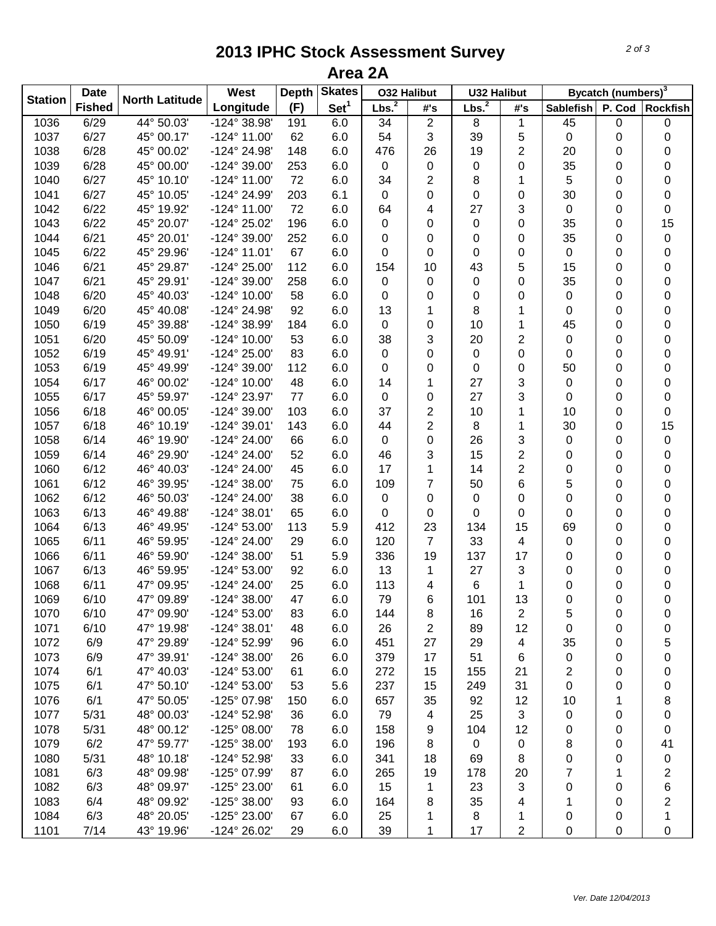## **2013 IPHC Stock Assessment Survey Area 2A**

|                | <b>Date</b>   |                       | West                  | <b>Skates</b><br>Depth |                  | <b>032 Halibut</b> |                | <b>U32 Halibut</b> |                         | Bycatch (numbers) <sup>3</sup> |   |                         |  |
|----------------|---------------|-----------------------|-----------------------|------------------------|------------------|--------------------|----------------|--------------------|-------------------------|--------------------------------|---|-------------------------|--|
| <b>Station</b> | <b>Fished</b> | <b>North Latitude</b> | Longitude             | (F)                    | Set <sup>1</sup> | Lbs. <sup>2</sup>  | #'s            | Lbs. <sup>2</sup>  | #'s                     | Sablefish                      |   | P. Cod Rockfish         |  |
| 1036           | 6/29          | 44° 50.03'            | -124° 38.98'          | 191                    | 6.0              | 34                 | $\overline{2}$ | 8                  | $\mathbf 1$             | 45                             | 0 | 0                       |  |
| 1037           | 6/27          | 45° 00.17'            | $-124^{\circ}$ 11.00' | 62                     | 6.0              | 54                 | 3              | 39                 | 5                       | $\pmb{0}$                      | 0 | 0                       |  |
| 1038           | 6/28          | 45° 00.02'            | -124° 24.98'          | 148                    | 6.0              | 476                | 26             | 19                 | $\overline{2}$          | 20                             | 0 | 0                       |  |
| 1039           | 6/28          | 45° 00.00'            | -124° 39.00'          | 253                    | 6.0              | $\mathbf 0$        | 0              | 0                  | $\mathbf 0$             | 35                             | 0 | 0                       |  |
| 1040           | 6/27          | 45° 10.10'            | $-124^{\circ}$ 11.00' | 72                     | 6.0              | 34                 | $\overline{2}$ | 8                  | 1                       | 5                              | 0 | 0                       |  |
| 1041           | 6/27          | 45° 10.05'            | -124° 24.99'          | 203                    | 6.1              | $\mathbf 0$        | 0              | 0                  | $\mathbf 0$             | 30                             | 0 | 0                       |  |
| 1042           | 6/22          | 45° 19.92'            | $-124^{\circ}$ 11.00' | 72                     | 6.0              | 64                 | 4              | 27                 | 3                       | $\mathbf 0$                    | 0 | 0                       |  |
| 1043           | 6/22          | 45° 20.07'            | -124° 25.02'          | 196                    | 6.0              | 0                  | 0              | 0                  | 0                       | 35                             | 0 | 15                      |  |
| 1044           | 6/21          | 45° 20.01'            | -124° 39.00'          | 252                    | 6.0              | 0                  | 0              | 0                  | 0                       | 35                             | 0 | 0                       |  |
| 1045           | 6/22          | 45° 29.96'            | $-124^{\circ}$ 11.01' | 67                     | 6.0              | 0                  | 0              | 0                  | 0                       | 0                              | 0 | 0                       |  |
| 1046           | 6/21          | 45° 29.87'            | -124° 25.00'          | 112                    | 6.0              | 154                | 10             | 43                 | 5                       | 15                             | 0 | 0                       |  |
| 1047           | 6/21          | 45° 29.91'            | -124° 39.00'          | 258                    | 6.0              | $\mathbf 0$        | 0              | 0                  | 0                       | 35                             | 0 | 0                       |  |
| 1048           | 6/20          | 45° 40.03'            | -124° 10.00'          | 58                     | 6.0              | 0                  | 0              | 0                  | 0                       | 0                              | 0 | 0                       |  |
| 1049           | 6/20          | 45° 40.08'            | -124° 24.98'          | 92                     | 6.0              | 13                 | 1              | 8                  | 1                       | 0                              | 0 | 0                       |  |
| 1050           | 6/19          | 45° 39.88'            | -124° 38.99'          | 184                    | 6.0              | 0                  | 0              | 10                 | 1                       | 45                             | 0 | 0                       |  |
| 1051           | 6/20          | 45° 50.09'            | -124° 10.00'          | 53                     | 6.0              | 38                 | 3              | 20                 | 2                       | 0                              | 0 | 0                       |  |
| 1052           | 6/19          | 45° 49.91'            | -124° 25.00'          | 83                     | 6.0              | $\mathsf 0$        | 0              | 0                  | 0                       | 0                              | 0 | 0                       |  |
| 1053           | 6/19          | 45° 49.99'            | -124° 39.00'          | 112                    | 6.0              | 0                  | 0              | 0                  | 0                       | 50                             | 0 | 0                       |  |
| 1054           | 6/17          | 46° 00.02'            | $-124^{\circ}$ 10.00' | 48                     | 6.0              | 14                 | 1              | 27                 | 3                       | $\pmb{0}$                      | 0 | 0                       |  |
| 1055           | 6/17          | 45° 59.97'            | -124° 23.97'          | 77                     | 6.0              | $\mathbf 0$        | 0              | 27                 | 3                       | $\mathbf 0$                    | 0 | 0                       |  |
| 1056           | 6/18          | 46° 00.05'            | -124° 39.00'          | 103                    | 6.0              | 37                 | $\overline{2}$ | 10                 | $\mathbf{1}$            | 10                             | 0 | 0                       |  |
| 1057           | 6/18          | 46° 10.19'            | $-124^{\circ} 39.01'$ | 143                    | 6.0              | 44                 | $\overline{2}$ | 8                  | 1                       | 30                             | 0 | 15                      |  |
| 1058           | 6/14          | 46° 19.90'            | -124° 24.00'          | 66                     | 6.0              | 0                  | 0              | 26                 | 3                       | $\mathbf 0$                    | 0 | 0                       |  |
| 1059           | 6/14          | 46° 29.90'            | -124° 24.00'          | 52                     | 6.0              | 46                 | 3              | 15                 | $\overline{c}$          | 0                              | 0 | 0                       |  |
| 1060           | 6/12          | 46° 40.03'            | -124° 24.00'          | 45                     | 6.0              | 17                 | 1              | 14                 | $\overline{2}$          | 0                              | 0 | 0                       |  |
| 1061           | 6/12          | 46° 39.95'            | $-124^{\circ} 38.00'$ | 75                     | 6.0              | 109                | 7              | 50                 | 6                       | 5                              | 0 | 0                       |  |
| 1062           | 6/12          | 46° 50.03'            | -124° 24.00'          | 38                     | 6.0              | 0                  | 0              | 0                  | 0                       | 0                              | 0 | 0                       |  |
| 1063           | 6/13          | 46° 49.88'            | $-124^{\circ} 38.01'$ | 65                     | 6.0              | 0                  | 0              | 0                  | 0                       | 0                              | 0 | 0                       |  |
| 1064           | 6/13          | 46° 49.95'            | $-124^{\circ} 53.00'$ | 113                    | 5.9              | 412                | 23             | 134                | 15                      | 69                             | 0 | 0                       |  |
| 1065           | 6/11          | 46° 59.95'            | -124° 24.00'          | 29                     | 6.0              | 120                | $\overline{7}$ | 33                 | 4                       | 0                              | 0 | 0                       |  |
| 1066           | 6/11          | 46° 59.90'            | $-124^{\circ} 38.00'$ | 51                     | 5.9              | 336                | 19             | 137                | 17                      | 0                              | 0 | 0                       |  |
| 1067           | 6/13          | 46° 59.95'            | $-124^{\circ} 53.00'$ | 92                     | 6.0              | 13                 | 1              | 27                 | 3                       | 0                              | 0 | 0                       |  |
| 1068           | 6/11          | 47° 09.95'            | -124° 24.00'          | 25                     | 6.0              | 113                | 4              | 6                  | 1                       | 0                              | 0 | 0                       |  |
| 1069           | 6/10          | 47° 09.89'            | $-124^{\circ} 38.00'$ | 47                     | 6.0              | 79                 | 6              | 101                | 13                      | 0                              | 0 | 0                       |  |
| 1070           | 6/10          | 47° 09.90'            | $-124^{\circ} 53.00'$ | 83                     | 6.0              | 144                | 8              | 16                 | $\overline{\mathbf{c}}$ | 5                              | 0 | 0                       |  |
| 1071           | 6/10          | 47° 19.98'            | $-124^{\circ}38.01'$  | 48                     | 6.0              | 26                 | 2              | 89                 | 12                      | 0                              | 0 | 0                       |  |
| 1072           | 6/9           | 47° 29.89'            | -124° 52.99'          | 96                     | 6.0              | 451                | 27             | 29                 | 4                       | 35                             | 0 | 5                       |  |
| 1073           | 6/9           | 47° 39.91'            | $-124^{\circ} 38.00'$ | 26                     | 6.0              | 379                | 17             | 51                 | 6                       | $\pmb{0}$                      | 0 | 0                       |  |
| 1074           | 6/1           | 47° 40.03'            | $-124^{\circ} 53.00'$ | 61                     | 6.0              | 272                | 15             | 155                | 21                      | $\overline{\mathbf{c}}$        | 0 | 0                       |  |
| 1075           | 6/1           | 47° 50.10'            | -124° 53.00'          | 53                     | 5.6              | 237                | 15             | 249                | 31                      | 0                              | 0 | 0                       |  |
| 1076           | 6/1           | 47° 50.05'            | -125° 07.98'          | 150                    | 6.0              | 657                | 35             | 92                 | 12                      | 10                             | 1 | 8                       |  |
| 1077           | 5/31          | 48° 00.03'            | -124° 52.98'          | 36                     | 6.0              | 79                 | 4              | 25                 | 3                       | 0                              | 0 | 0                       |  |
| 1078           | 5/31          | 48° 00.12'            | $-125^{\circ}$ 08.00' | 78                     | 6.0              | 158                | 9              | 104                | 12                      | 0                              | 0 | 0                       |  |
| 1079           | 6/2           | 47° 59.77'            | $-125^{\circ}$ 38.00' | 193                    | 6.0              | 196                | 8              | 0                  | 0                       | 8                              | 0 | 41                      |  |
| 1080           | 5/31          | 48° 10.18'            | -124° 52.98'          | 33                     | 6.0              | 341                | 18             | 69                 | 8                       | 0                              | 0 | 0                       |  |
| 1081           | 6/3           | 48° 09.98'            | -125° 07.99'          | 87                     | 6.0              | 265                | 19             | 178                | 20                      | 7                              | 1 | $\overline{\mathbf{c}}$ |  |
| 1082           | 6/3           | 48° 09.97'            | -125° 23.00'          | 61                     | 6.0              | 15                 | 1              | 23                 | 3                       | 0                              | 0 | 6                       |  |
| 1083           | 6/4           | 48° 09.92'            | $-125^{\circ}$ 38.00' | 93                     | 6.0              | 164                | 8              | 35                 | 4                       | 1                              | 0 | $\overline{\mathbf{c}}$ |  |
| 1084           | 6/3           | 48° 20.05'            | -125° 23.00'          | 67                     | 6.0              | 25                 | 1              | 8                  | 1                       | 0                              | 0 | 1                       |  |
| 1101           | 7/14          | 43° 19.96'            | -124° 26.02'          | 29                     | 6.0              | 39                 | 1              | 17                 | $\overline{2}$          | 0                              | 0 | 0                       |  |